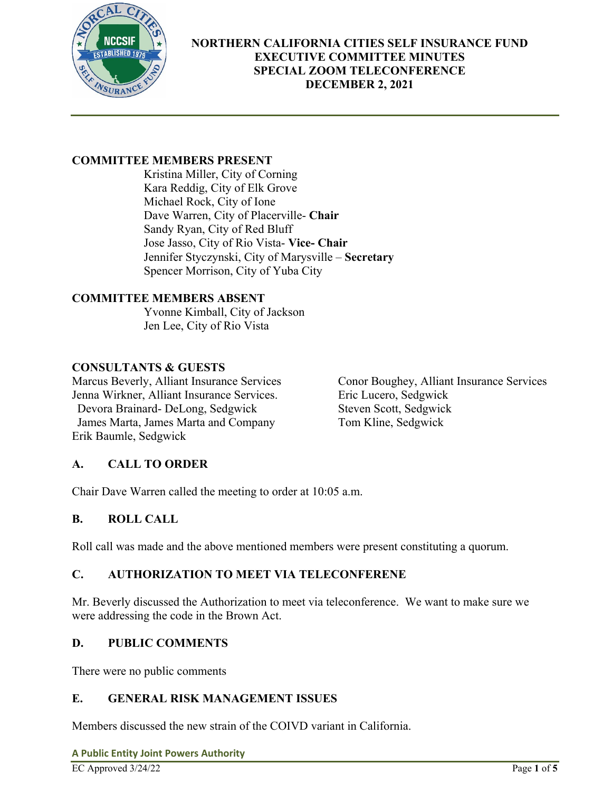

## **COMMITTEE MEMBERS PRESENT**

Kristina Miller, City of Corning Kara Reddig, City of Elk Grove Michael Rock, City of Ione Dave Warren, City of Placerville- **Chair**  Sandy Ryan, City of Red Bluff Jose Jasso, City of Rio Vista- **Vice- Chair** Jennifer Styczynski, City of Marysville – **Secretary**  Spencer Morrison, City of Yuba City

### **COMMITTEE MEMBERS ABSENT**

Yvonne Kimball, City of Jackson Jen Lee, City of Rio Vista

### **CONSULTANTS & GUESTS**

Jenna Wirkner, Alliant Insurance Services. Eric Lucero, Sedgwick Devora Brainard- DeLong, Sedgwick Steven Scott, Sedgwick James Marta, James Marta and Company Tom Kline, Sedgwick Erik Baumle, Sedgwick

Marcus Beverly, Alliant Insurance Services Conor Boughey, Alliant Insurance Services

## **A. CALL TO ORDER**

Chair Dave Warren called the meeting to order at 10:05 a.m.

### **B. ROLL CALL**

Roll call was made and the above mentioned members were present constituting a quorum.

## **C. AUTHORIZATION TO MEET VIA TELECONFERENE**

Mr. Beverly discussed the Authorization to meet via teleconference. We want to make sure we were addressing the code in the Brown Act.

### **D. PUBLIC COMMENTS**

There were no public comments

### **E. GENERAL RISK MANAGEMENT ISSUES**

Members discussed the new strain of the COIVD variant in California.

**A Public Entity Joint Powers Authority**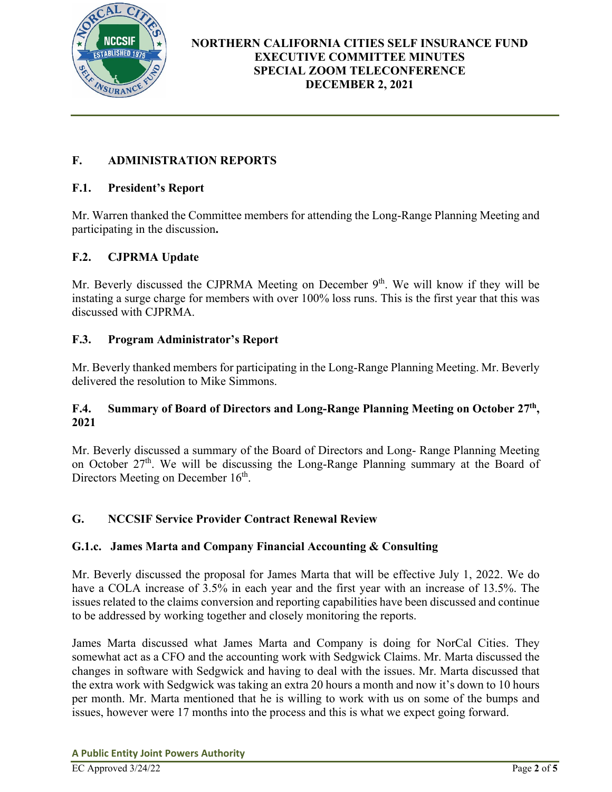

# **F. ADMINISTRATION REPORTS**

### **F.1. President's Report**

Mr. Warren thanked the Committee members for attending the Long-Range Planning Meeting and participating in the discussion**.** 

### **F.2. CJPRMA Update**

Mr. Beverly discussed the CJPRMA Meeting on December  $9<sup>th</sup>$ . We will know if they will be instating a surge charge for members with over 100% loss runs. This is the first year that this was discussed with CJPRMA.

### **F.3. Program Administrator's Report**

Mr. Beverly thanked members for participating in the Long-Range Planning Meeting. Mr. Beverly delivered the resolution to Mike Simmons.

### **F.4. Summary of Board of Directors and Long-Range Planning Meeting on October 27th, 2021**

Mr. Beverly discussed a summary of the Board of Directors and Long- Range Planning Meeting on October 27<sup>th</sup>. We will be discussing the Long-Range Planning summary at the Board of Directors Meeting on December 16<sup>th</sup>.

### **G. NCCSIF Service Provider Contract Renewal Review**

### **G.1.c. James Marta and Company Financial Accounting & Consulting**

Mr. Beverly discussed the proposal for James Marta that will be effective July 1, 2022. We do have a COLA increase of 3.5% in each year and the first year with an increase of 13.5%. The issues related to the claims conversion and reporting capabilities have been discussed and continue to be addressed by working together and closely monitoring the reports.

James Marta discussed what James Marta and Company is doing for NorCal Cities. They somewhat act as a CFO and the accounting work with Sedgwick Claims. Mr. Marta discussed the changes in software with Sedgwick and having to deal with the issues. Mr. Marta discussed that the extra work with Sedgwick was taking an extra 20 hours a month and now it's down to 10 hours per month. Mr. Marta mentioned that he is willing to work with us on some of the bumps and issues, however were 17 months into the process and this is what we expect going forward.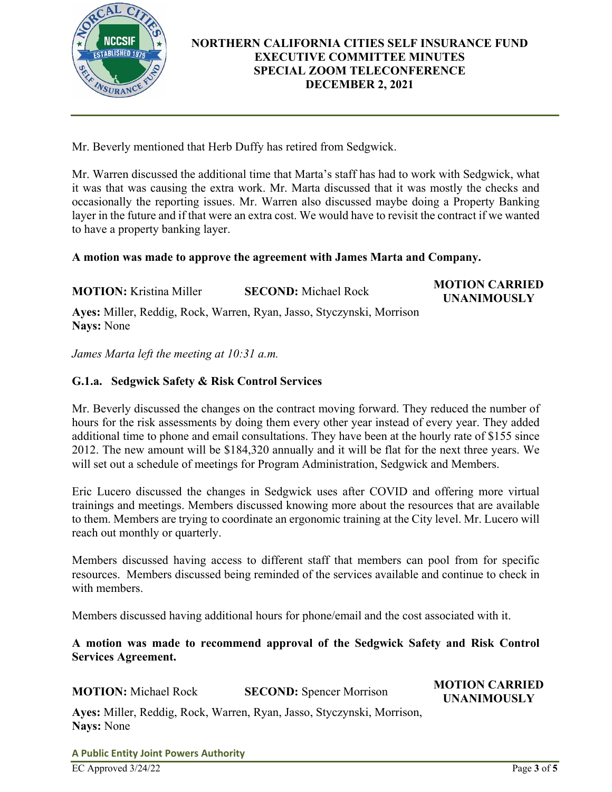

Mr. Beverly mentioned that Herb Duffy has retired from Sedgwick.

Mr. Warren discussed the additional time that Marta's staff has had to work with Sedgwick, what it was that was causing the extra work. Mr. Marta discussed that it was mostly the checks and occasionally the reporting issues. Mr. Warren also discussed maybe doing a Property Banking layer in the future and if that were an extra cost. We would have to revisit the contract if we wanted to have a property banking layer.

#### **A motion was made to approve the agreement with James Marta and Company.**

**MOTION:** Kristina Miller **SECOND:** Michael Rock **MOTION CARRIED** 

**UNANIMOUSLY** 

**Ayes:** Miller, Reddig, Rock, Warren, Ryan, Jasso, Styczynski, Morrison **Nays:** None

*James Marta left the meeting at 10:31 a.m.* 

### **G.1.a. Sedgwick Safety & Risk Control Services**

Mr. Beverly discussed the changes on the contract moving forward. They reduced the number of hours for the risk assessments by doing them every other year instead of every year. They added additional time to phone and email consultations. They have been at the hourly rate of \$155 since 2012. The new amount will be \$184,320 annually and it will be flat for the next three years. We will set out a schedule of meetings for Program Administration, Sedgwick and Members.

Eric Lucero discussed the changes in Sedgwick uses after COVID and offering more virtual trainings and meetings. Members discussed knowing more about the resources that are available to them. Members are trying to coordinate an ergonomic training at the City level. Mr. Lucero will reach out monthly or quarterly.

Members discussed having access to different staff that members can pool from for specific resources. Members discussed being reminded of the services available and continue to check in with members.

Members discussed having additional hours for phone/email and the cost associated with it.

#### **A motion was made to recommend approval of the Sedgwick Safety and Risk Control Services Agreement.**

**MOTION:** Michael Rock **SECOND:** Spencer Morrison **MOTION CARRIED UNANIMOUSLY** 

**Ayes:** Miller, Reddig, Rock, Warren, Ryan, Jasso, Styczynski, Morrison, **Nays:** None

**A Public Entity Joint Powers Authority**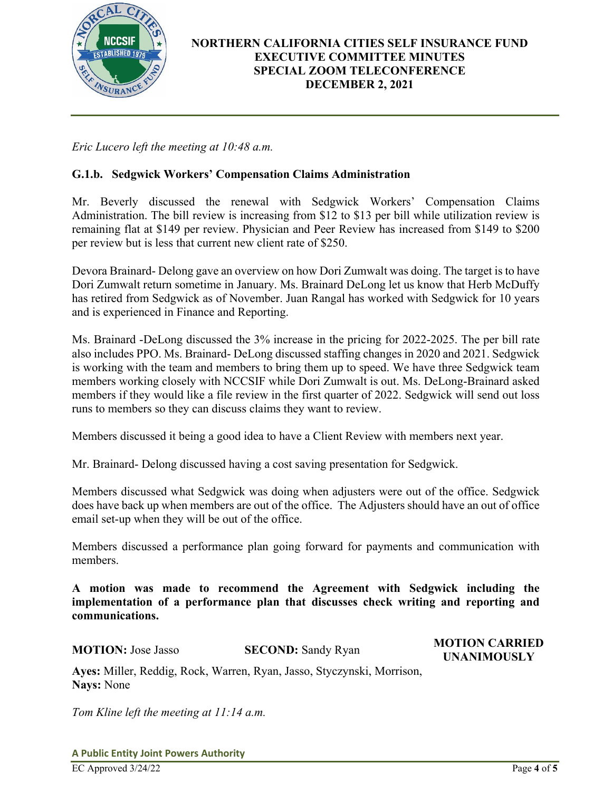

*Eric Lucero left the meeting at 10:48 a.m.* 

### **G.1.b. Sedgwick Workers' Compensation Claims Administration**

Mr. Beverly discussed the renewal with Sedgwick Workers' Compensation Claims Administration. The bill review is increasing from \$12 to \$13 per bill while utilization review is remaining flat at \$149 per review. Physician and Peer Review has increased from \$149 to \$200 per review but is less that current new client rate of \$250.

Devora Brainard- Delong gave an overview on how Dori Zumwalt was doing. The target is to have Dori Zumwalt return sometime in January. Ms. Brainard DeLong let us know that Herb McDuffy has retired from Sedgwick as of November. Juan Rangal has worked with Sedgwick for 10 years and is experienced in Finance and Reporting.

Ms. Brainard -DeLong discussed the 3% increase in the pricing for 2022-2025. The per bill rate also includes PPO. Ms. Brainard- DeLong discussed staffing changes in 2020 and 2021. Sedgwick is working with the team and members to bring them up to speed. We have three Sedgwick team members working closely with NCCSIF while Dori Zumwalt is out. Ms. DeLong-Brainard asked members if they would like a file review in the first quarter of 2022. Sedgwick will send out loss runs to members so they can discuss claims they want to review.

Members discussed it being a good idea to have a Client Review with members next year.

Mr. Brainard- Delong discussed having a cost saving presentation for Sedgwick.

Members discussed what Sedgwick was doing when adjusters were out of the office. Sedgwick does have back up when members are out of the office. The Adjusters should have an out of office email set-up when they will be out of the office.

Members discussed a performance plan going forward for payments and communication with members.

**A motion was made to recommend the Agreement with Sedgwick including the implementation of a performance plan that discusses check writing and reporting and communications.** 

**MOTION:** Jose Jasso **SECOND:** Sandy Ryan **MOTION CARRIED UNANIMOUSLY** 

**Ayes:** Miller, Reddig, Rock, Warren, Ryan, Jasso, Styczynski, Morrison, **Nays:** None

*Tom Kline left the meeting at 11:14 a.m.*